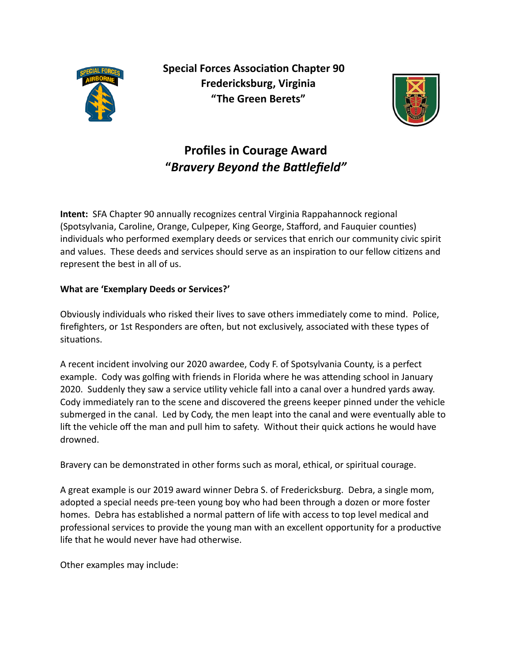

**Special Forces Association Chapter 90 Fredericksburg, Virginia "The Green Berets"** 



## **Profiles in Courage Award**  "Bravery Beyond the Battlefield"

**Intent:** SFA Chapter 90 annually recognizes central Virginia Rappahannock regional (Spotsylvania, Caroline, Orange, Culpeper, King George, Stafford, and Fauquier counties) individuals who performed exemplary deeds or services that enrich our community civic spirit and values. These deeds and services should serve as an inspiration to our fellow citizens and represent the best in all of us.

## **What are 'Exemplary Deeds or Services?'**

Obviously individuals who risked their lives to save others immediately come to mind. Police, firefighters, or 1st Responders are often, but not exclusively, associated with these types of situations.

A recent incident involving our 2020 awardee, Cody F. of Spotsylvania County, is a perfect example. Cody was golfing with friends in Florida where he was attending school in January 2020. Suddenly they saw a service utility vehicle fall into a canal over a hundred yards away. Cody immediately ran to the scene and discovered the greens keeper pinned under the vehicle submerged in the canal. Led by Cody, the men leapt into the canal and were eventually able to lift the vehicle off the man and pull him to safety. Without their quick actions he would have drowned.

Bravery can be demonstrated in other forms such as moral, ethical, or spiritual courage.

A great example is our 2019 award winner Debra S. of Fredericksburg. Debra, a single mom, adopted a special needs pre-teen young boy who had been through a dozen or more foster homes. Debra has established a normal pattern of life with access to top level medical and professional services to provide the young man with an excellent opportunity for a productive life that he would never have had otherwise.

Other examples may include: